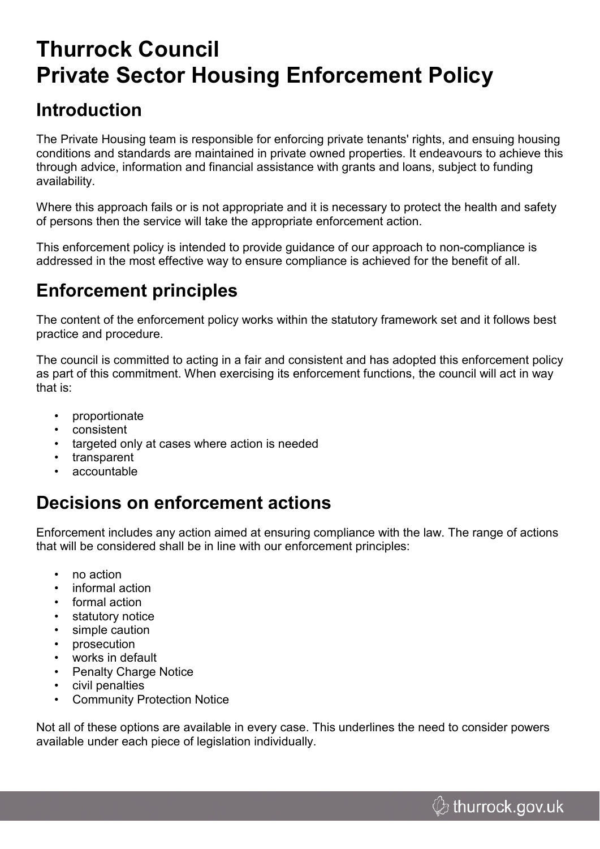# **Thurrock Council Private Sector Housing Enforcement Policy**

### **Introduction**

The Private Housing team is responsible for enforcing private tenants' rights, and ensuing housing conditions and standards are maintained in private owned properties. It endeavours to achieve this through advice, information and financial assistance with grants and loans, subject to funding availability.

Where this approach fails or is not appropriate and it is necessary to protect the health and safety of persons then the service will take the appropriate enforcement action.

This enforcement policy is intended to provide guidance of our approach to non-compliance is addressed in the most effective way to ensure compliance is achieved for the benefit of all.

### **Enforcement principles**

The content of the enforcement policy works within the statutory framework set and it follows best practice and procedure.

The council is committed to acting in a fair and consistent and has adopted this enforcement policy as part of this commitment. When exercising its enforcement functions, the council will act in way that is:

- proportionate
- consistent
- targeted only at cases where action is needed
- transparent
- accountable

### **Decisions on enforcement actions**

Enforcement includes any action aimed at ensuring compliance with the law. The range of actions that will be considered shall be in line with our enforcement principles:

- no action
- informal action
- formal action
- statutory notice
- simple caution
- prosecution
- works in default
- Penalty Charge Notice
- civil penalties
- **Community Protection Notice**

Not all of these options are available in every case. This underlines the need to consider powers available under each piece of legislation individually.

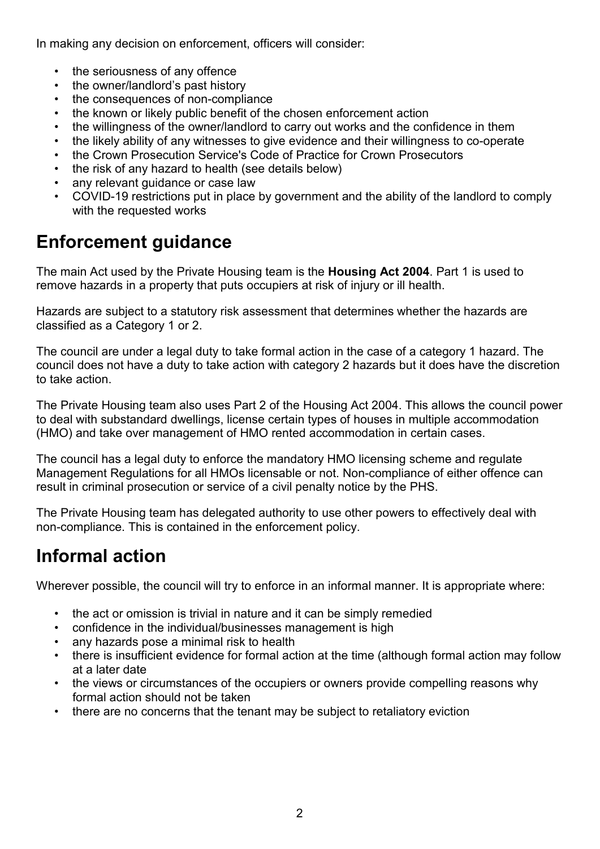In making any decision on enforcement, officers will consider:

- the seriousness of any offence
- the owner/landlord's past history
- the consequences of non-compliance
- the known or likely public benefit of the chosen enforcement action
- the willingness of the owner/landlord to carry out works and the confidence in them
- the likely ability of any witnesses to give evidence and their willingness to co-operate
- the Crown Prosecution Service's Code of Practice for Crown Prosecutors
- the risk of any hazard to health (see details below)
- any relevant guidance or case law
- COVID-19 restrictions put in place by government and the ability of the landlord to comply with the requested works

### **Enforcement guidance**

The main Act used by the Private Housing team is the **Housing Act 2004**. Part 1 is used to remove hazards in a property that puts occupiers at risk of injury or ill health.

Hazards are subject to a statutory risk assessment that determines whether the hazards are classified as a Category 1 or 2.

The council are under a legal duty to take formal action in the case of a category 1 hazard. The council does not have a duty to take action with category 2 hazards but it does have the discretion to take action.

The Private Housing team also uses Part 2 of the Housing Act 2004. This allows the council power to deal with substandard dwellings, license certain types of houses in multiple accommodation (HMO) and take over management of HMO rented accommodation in certain cases.

The council has a legal duty to enforce the mandatory HMO licensing scheme and regulate Management Regulations for all HMOs licensable or not. Non-compliance of either offence can result in criminal prosecution or service of a civil penalty notice by the PHS.

The Private Housing team has delegated authority to use other powers to effectively deal with non-compliance. This is contained in the enforcement policy.

### **Informal action**

Wherever possible, the council will try to enforce in an informal manner. It is appropriate where:

- the act or omission is trivial in nature and it can be simply remedied
- confidence in the individual/businesses management is high
- any hazards pose a minimal risk to health
- there is insufficient evidence for formal action at the time (although formal action may follow at a later date
- the views or circumstances of the occupiers or owners provide compelling reasons why formal action should not be taken
- there are no concerns that the tenant may be subject to retaliatory eviction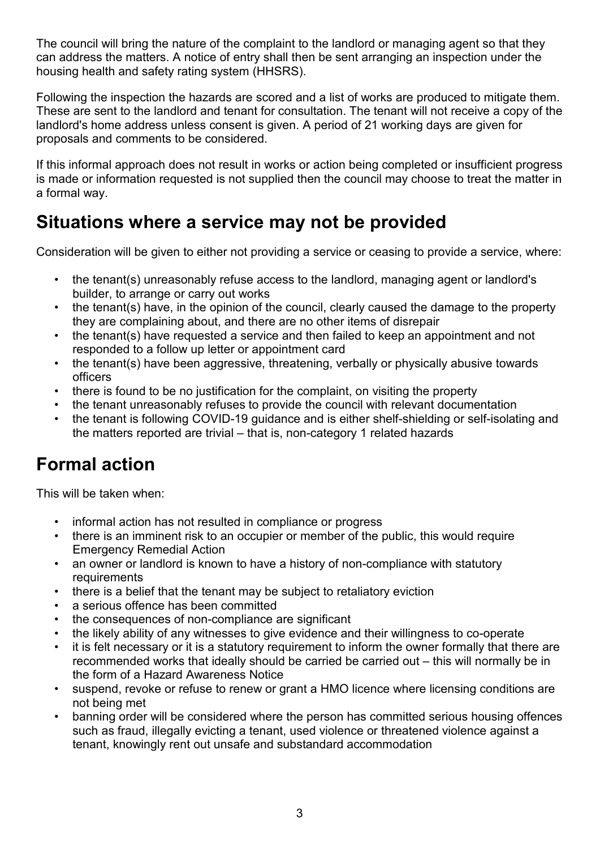The council will bring the nature of the complaint to the landlord or managing agent so that they can address the matters. A notice of entry shall then be sent arranging an inspection under the housing health and safety rating system (HHSRS).

Following the inspection the hazards are scored and a list of works are produced to mitigate them. These are sent to the landlord and tenant for consultation. The tenant will not receive a copy of the landlord's home address unless consent is given. A period of 21 working days are given for proposals and comments to be considered.

If this informal approach does not result in works or action being completed or insufficient progress is made or information requested is not supplied then the council may choose to treat the matter in a formal way.

### **Situations where a service may not be provided**

Consideration will be given to either not providing a service or ceasing to provide a service, where:

- the tenant(s) unreasonably refuse access to the landlord, managing agent or landlord's builder, to arrange or carry out works
- the tenant(s) have, in the opinion of the council, clearly caused the damage to the property they are complaining about, and there are no other items of disrepair
- the tenant(s) have requested a service and then failed to keep an appointment and not responded to a follow up letter or appointment card
- the tenant(s) have been aggressive, threatening, verbally or physically abusive towards officers
- there is found to be no justification for the complaint, on visiting the property
- the tenant unreasonably refuses to provide the council with relevant documentation
- the tenant is following COVID-19 guidance and is either shelf-shielding or self-isolating and the matters reported are trivial – that is, non-category 1 related hazards

### **Formal action**

This will be taken when:

- informal action has not resulted in compliance or progress
- there is an imminent risk to an occupier or member of the public, this would require Emergency Remedial Action
- an owner or landlord is known to have a history of non-compliance with statutory requirements
- there is a belief that the tenant may be subject to retaliatory eviction
- a serious offence has been committed
- the consequences of non-compliance are significant
- the likely ability of any witnesses to give evidence and their willingness to co-operate
- it is felt necessary or it is a statutory requirement to inform the owner formally that there are recommended works that ideally should be carried be carried out – this will normally be in the form of a Hazard Awareness Notice
- suspend, revoke or refuse to renew or grant a HMO licence where licensing conditions are not being met
- banning order will be considered where the person has committed serious housing offences such as fraud, illegally evicting a tenant, used violence or threatened violence against a tenant, knowingly rent out unsafe and substandard accommodation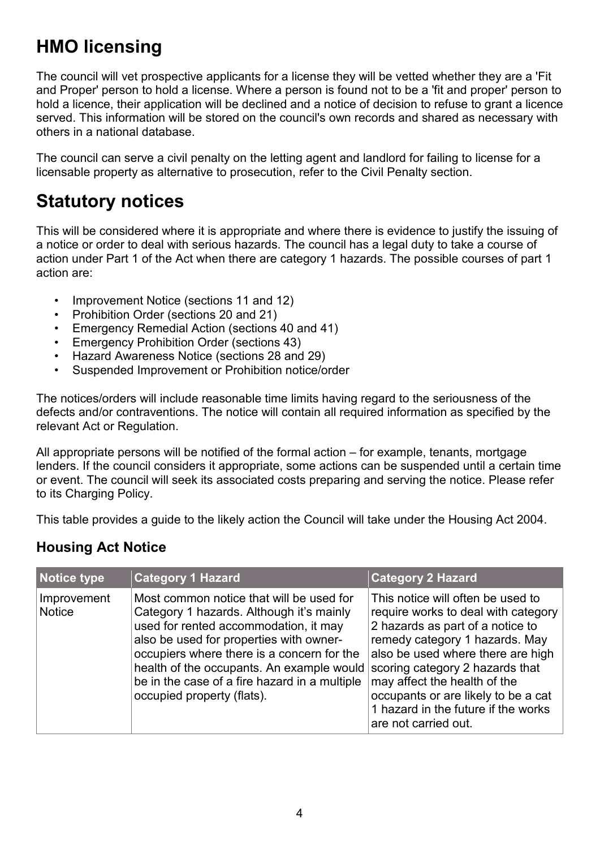## **HMO licensing**

The council will vet prospective applicants for a license they will be vetted whether they are a 'Fit and Proper' person to hold a license. Where a person is found not to be a 'fit and proper' person to hold a licence, their application will be declined and a notice of decision to refuse to grant a licence served. This information will be stored on the council's own records and shared as necessary with others in a national database.

The council can serve a civil penalty on the letting agent and landlord for failing to license for a licensable property as alternative to prosecution, refer to the Civil Penalty section.

### **Statutory notices**

This will be considered where it is appropriate and where there is evidence to justify the issuing of a notice or order to deal with serious hazards. The council has a legal duty to take a course of action under Part 1 of the Act when there are category 1 hazards. The possible courses of part 1 action are:

- Improvement Notice (sections 11 and 12)
- Prohibition Order (sections 20 and 21)
- Emergency Remedial Action (sections 40 and 41)
- Emergency Prohibition Order (sections 43)
- Hazard Awareness Notice (sections 28 and 29)
- Suspended Improvement or Prohibition notice/order

The notices/orders will include reasonable time limits having regard to the seriousness of the defects and/or contraventions. The notice will contain all required information as specified by the relevant Act or Regulation.

All appropriate persons will be notified of the formal action – for example, tenants, mortgage lenders. If the council considers it appropriate, some actions can be suspended until a certain time or event. The council will seek its associated costs preparing and serving the notice. Please refer to its Charging Policy.

This table provides a guide to the likely action the Council will take under the Housing Act 2004.

#### **Housing Act Notice**

| Notice type                  | <b>Category 1 Hazard</b>                                                                                                                                                                                                                                                                                                                           | <b>Category 2 Hazard</b>                                                                                                                                                                                                                                                                                                                                     |
|------------------------------|----------------------------------------------------------------------------------------------------------------------------------------------------------------------------------------------------------------------------------------------------------------------------------------------------------------------------------------------------|--------------------------------------------------------------------------------------------------------------------------------------------------------------------------------------------------------------------------------------------------------------------------------------------------------------------------------------------------------------|
| Improvement<br><b>Notice</b> | Most common notice that will be used for<br>Category 1 hazards. Although it's mainly<br>used for rented accommodation, it may<br>also be used for properties with owner-<br>occupiers where there is a concern for the<br>health of the occupants. An example would<br>be in the case of a fire hazard in a multiple<br>occupied property (flats). | This notice will often be used to<br>require works to deal with category<br>2 hazards as part of a notice to<br>remedy category 1 hazards. May<br>also be used where there are high<br>scoring category 2 hazards that<br>may affect the health of the<br>occupants or are likely to be a cat<br>1 hazard in the future if the works<br>are not carried out. |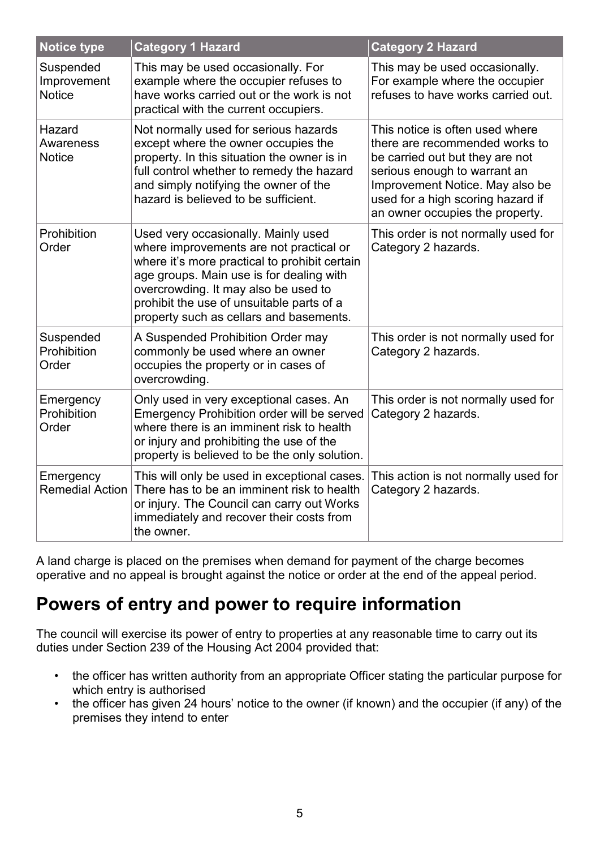| <b>Notice type</b>                        | <b>Category 1 Hazard</b>                                                                                                                                                                                                                                                                                    | <b>Category 2 Hazard</b>                                                                                                                                                                                                                        |
|-------------------------------------------|-------------------------------------------------------------------------------------------------------------------------------------------------------------------------------------------------------------------------------------------------------------------------------------------------------------|-------------------------------------------------------------------------------------------------------------------------------------------------------------------------------------------------------------------------------------------------|
| Suspended<br>Improvement<br><b>Notice</b> | This may be used occasionally. For<br>example where the occupier refuses to<br>have works carried out or the work is not<br>practical with the current occupiers.                                                                                                                                           | This may be used occasionally.<br>For example where the occupier<br>refuses to have works carried out.                                                                                                                                          |
| Hazard<br>Awareness<br><b>Notice</b>      | Not normally used for serious hazards<br>except where the owner occupies the<br>property. In this situation the owner is in<br>full control whether to remedy the hazard<br>and simply notifying the owner of the<br>hazard is believed to be sufficient.                                                   | This notice is often used where<br>there are recommended works to<br>be carried out but they are not<br>serious enough to warrant an<br>Improvement Notice. May also be<br>used for a high scoring hazard if<br>an owner occupies the property. |
| Prohibition<br>Order                      | Used very occasionally. Mainly used<br>where improvements are not practical or<br>where it's more practical to prohibit certain<br>age groups. Main use is for dealing with<br>overcrowding. It may also be used to<br>prohibit the use of unsuitable parts of a<br>property such as cellars and basements. | This order is not normally used for<br>Category 2 hazards.                                                                                                                                                                                      |
| Suspended<br>Prohibition<br>Order         | A Suspended Prohibition Order may<br>commonly be used where an owner<br>occupies the property or in cases of<br>overcrowding.                                                                                                                                                                               | This order is not normally used for<br>Category 2 hazards.                                                                                                                                                                                      |
| Emergency<br>Prohibition<br>Order         | Only used in very exceptional cases. An<br><b>Emergency Prohibition order will be served</b><br>where there is an imminent risk to health<br>or injury and prohibiting the use of the<br>property is believed to be the only solution.                                                                      | This order is not normally used for<br>Category 2 hazards.                                                                                                                                                                                      |
| Emergency<br><b>Remedial Action</b>       | This will only be used in exceptional cases.<br>There has to be an imminent risk to health<br>or injury. The Council can carry out Works<br>immediately and recover their costs from<br>the owner.                                                                                                          | This action is not normally used for<br>Category 2 hazards.                                                                                                                                                                                     |

A land charge is placed on the premises when demand for payment of the charge becomes operative and no appeal is brought against the notice or order at the end of the appeal period.

### **Powers of entry and power to require information**

The council will exercise its power of entry to properties at any reasonable time to carry out its duties under Section 239 of the Housing Act 2004 provided that:

- the officer has written authority from an appropriate Officer stating the particular purpose for which entry is authorised
- the officer has given 24 hours' notice to the owner (if known) and the occupier (if any) of the premises they intend to enter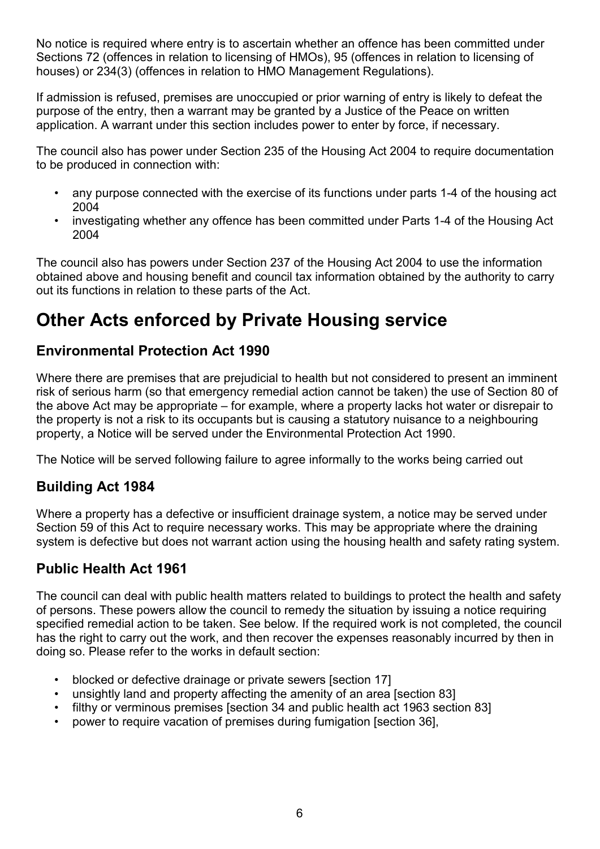No notice is required where entry is to ascertain whether an offence has been committed under Sections 72 (offences in relation to licensing of HMOs), 95 (offences in relation to licensing of houses) or 234(3) (offences in relation to HMO Management Regulations).

If admission is refused, premises are unoccupied or prior warning of entry is likely to defeat the purpose of the entry, then a warrant may be granted by a Justice of the Peace on written application. A warrant under this section includes power to enter by force, if necessary.

The council also has power under Section 235 of the Housing Act 2004 to require documentation to be produced in connection with:

- any purpose connected with the exercise of its functions under parts 1-4 of the housing act 2004
- investigating whether any offence has been committed under Parts 1-4 of the Housing Act 2004

The council also has powers under Section 237 of the Housing Act 2004 to use the information obtained above and housing benefit and council tax information obtained by the authority to carry out its functions in relation to these parts of the Act.

### **Other Acts enforced by Private Housing service**

#### **Environmental Protection Act 1990**

Where there are premises that are prejudicial to health but not considered to present an imminent risk of serious harm (so that emergency remedial action cannot be taken) the use of Section 80 of the above Act may be appropriate – for example, where a property lacks hot water or disrepair to the property is not a risk to its occupants but is causing a statutory nuisance to a neighbouring property, a Notice will be served under the Environmental Protection Act 1990.

The Notice will be served following failure to agree informally to the works being carried out

#### **Building Act 1984**

Where a property has a defective or insufficient drainage system, a notice may be served under Section 59 of this Act to require necessary works. This may be appropriate where the draining system is defective but does not warrant action using the housing health and safety rating system.

#### **Public Health Act 1961**

The council can deal with public health matters related to buildings to protect the health and safety of persons. These powers allow the council to remedy the situation by issuing a notice requiring specified remedial action to be taken. See below. If the required work is not completed, the council has the right to carry out the work, and then recover the expenses reasonably incurred by then in doing so. Please refer to the works in default section:

- blocked or defective drainage or private sewers [section 17]
- unsightly land and property affecting the amenity of an area [section 83]
- filthy or verminous premises [section 34 and public health act 1963 section 83]
- power to require vacation of premises during fumigation [section 36],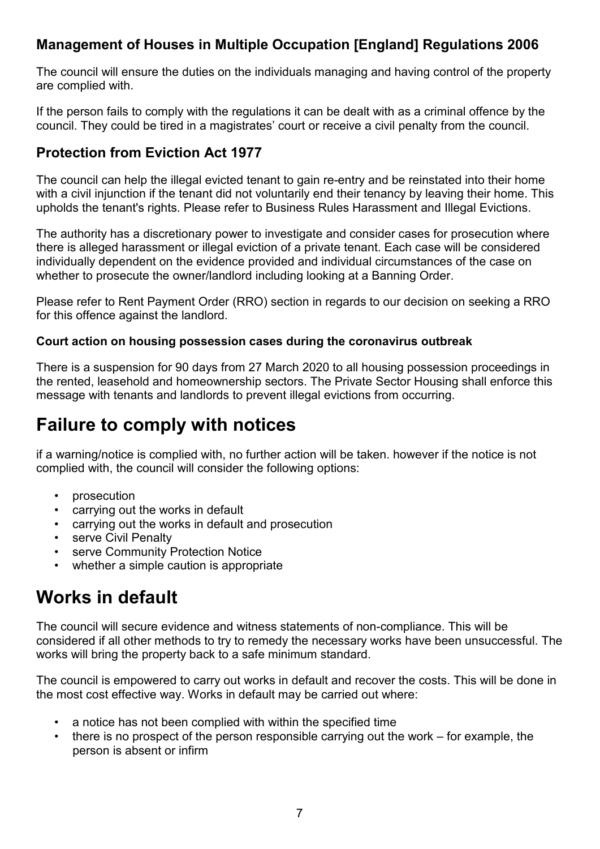#### **Management of Houses in Multiple Occupation [England] Regulations 2006**

The council will ensure the duties on the individuals managing and having control of the property are complied with.

If the person fails to comply with the regulations it can be dealt with as a criminal offence by the council. They could be tired in a magistrates' court or receive a civil penalty from the council.

#### **Protection from Eviction Act 1977**

The council can help the illegal evicted tenant to gain re-entry and be reinstated into their home with a civil injunction if the tenant did not voluntarily end their tenancy by leaving their home. This upholds the tenant's rights. Please refer to Business Rules Harassment and Illegal Evictions.

The authority has a discretionary power to investigate and consider cases for prosecution where there is alleged harassment or illegal eviction of a private tenant. Each case will be considered individually dependent on the evidence provided and individual circumstances of the case on whether to prosecute the owner/landlord including looking at a Banning Order.

Please refer to Rent Payment Order (RRO) section in regards to our decision on seeking a RRO for this offence against the landlord.

#### **Court action on housing possession cases during the coronavirus outbreak**

There is a suspension for 90 days from 27 March 2020 to all housing possession proceedings in the rented, leasehold and homeownership sectors. The Private Sector Housing shall enforce this message with tenants and landlords to prevent illegal evictions from occurring.

### **Failure to comply with notices**

if a warning/notice is complied with, no further action will be taken. however if the notice is not complied with, the council will consider the following options:

- prosecution
- carrying out the works in default
- carrying out the works in default and prosecution
- serve Civil Penalty
- serve Community Protection Notice
- whether a simple caution is appropriate

### **Works in default**

The council will secure evidence and witness statements of non-compliance. This will be considered if all other methods to try to remedy the necessary works have been unsuccessful. The works will bring the property back to a safe minimum standard.

The council is empowered to carry out works in default and recover the costs. This will be done in the most cost effective way. Works in default may be carried out where:

- a notice has not been complied with within the specified time
- there is no prospect of the person responsible carrying out the work  $-$  for example, the person is absent or infirm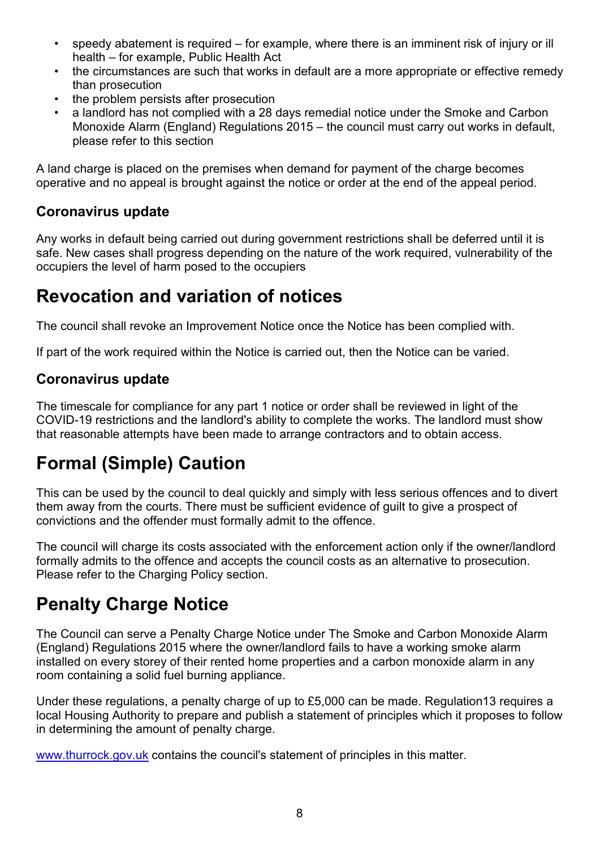- speedy abatement is required for example, where there is an imminent risk of injury or ill health – for example, Public Health Act
- the circumstances are such that works in default are a more appropriate or effective remedy than prosecution
- the problem persists after prosecution
- a landlord has not complied with a 28 days remedial notice under the Smoke and Carbon Monoxide Alarm (England) Regulations 2015 – the council must carry out works in default, please refer to this section

A land charge is placed on the premises when demand for payment of the charge becomes operative and no appeal is brought against the notice or order at the end of the appeal period.

#### **Coronavirus update**

Any works in default being carried out during government restrictions shall be deferred until it is safe. New cases shall progress depending on the nature of the work required, vulnerability of the occupiers the level of harm posed to the occupiers

### **Revocation and variation of notices**

The council shall revoke an Improvement Notice once the Notice has been complied with.

If part of the work required within the Notice is carried out, then the Notice can be varied.

#### **Coronavirus update**

The timescale for compliance for any part 1 notice or order shall be reviewed in light of the COVID-19 restrictions and the landlord's ability to complete the works. The landlord must show that reasonable attempts have been made to arrange contractors and to obtain access.

## **Formal (Simple) Caution**

This can be used by the council to deal quickly and simply with less serious offences and to divert them away from the courts. There must be sufficient evidence of guilt to give a prospect of convictions and the offender must formally admit to the offence.

The council will charge its costs associated with the enforcement action only if the owner/landlord formally admits to the offence and accepts the council costs as an alternative to prosecution. Please refer to the Charging Policy section.

### **Penalty Charge Notice**

The Council can serve a Penalty Charge Notice under The Smoke and Carbon Monoxide Alarm (England) Regulations 2015 where the owner/landlord fails to have a working smoke alarm installed on every storey of their rented home properties and a carbon monoxide alarm in any room containing a solid fuel burning appliance.

Under these regulations, a penalty charge of up to £5,000 can be made. Regulation13 requires a local Housing Authority to prepare and publish a statement of principles which it proposes to follow in determining the amount of penalty charge.

[www.thurrock.gov.uk](http://www.thurrock.gov.uk/) contains the council's statement of principles in this matter.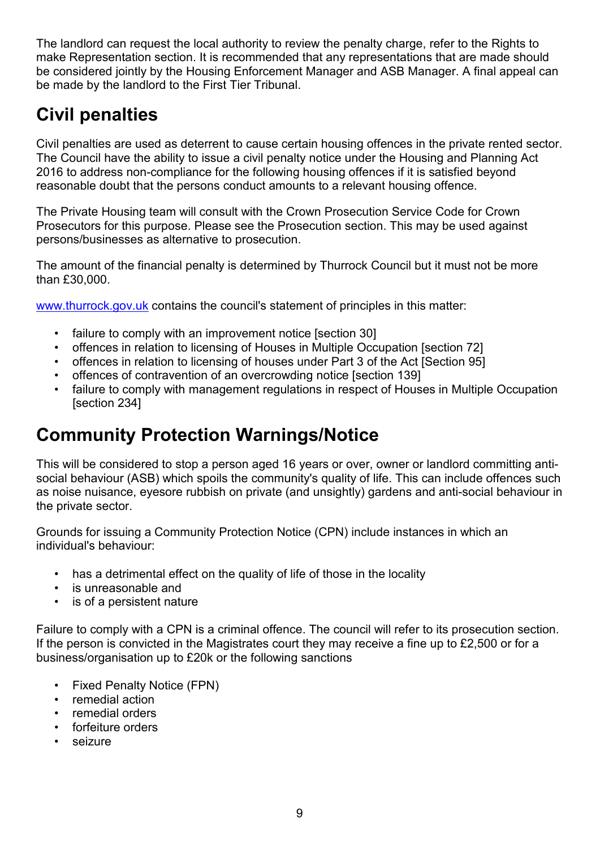The landlord can request the local authority to review the penalty charge, refer to the Rights to make Representation section. It is recommended that any representations that are made should be considered jointly by the Housing Enforcement Manager and ASB Manager. A final appeal can be made by the landlord to the First Tier Tribunal.

## **Civil penalties**

Civil penalties are used as deterrent to cause certain housing offences in the private rented sector. The Council have the ability to issue a civil penalty notice under the Housing and Planning Act 2016 to address non-compliance for the following housing offences if it is satisfied beyond reasonable doubt that the persons conduct amounts to a relevant housing offence.

The Private Housing team will consult with the Crown Prosecution Service Code for Crown Prosecutors for this purpose. Please see the Prosecution section. This may be used against persons/businesses as alternative to prosecution.

The amount of the financial penalty is determined by Thurrock Council but it must not be more than £30,000.

[www.thurrock.gov.uk](http://www.thurrock.gov.uk/) contains the council's statement of principles in this matter:

- failure to comply with an improvement notice [section 30]
- offences in relation to licensing of Houses in Multiple Occupation [section 72]
- offences in relation to licensing of houses under Part 3 of the Act [Section 95]
- offences of contravention of an overcrowding notice [section 139]
- failure to comply with management regulations in respect of Houses in Multiple Occupation [section 234]

### **Community Protection Warnings/Notice**

This will be considered to stop a person aged 16 years or over, owner or landlord committing antisocial behaviour (ASB) which spoils the community's quality of life. This can include offences such as noise nuisance, eyesore rubbish on private (and unsightly) gardens and anti-social behaviour in the private sector.

Grounds for issuing a Community Protection Notice (CPN) include instances in which an individual's behaviour:

- has a detrimental effect on the quality of life of those in the locality
- is unreasonable and
- is of a persistent nature

Failure to comply with a CPN is a criminal offence. The council will refer to its prosecution section. If the person is convicted in the Magistrates court they may receive a fine up to £2,500 or for a business/organisation up to £20k or the following sanctions

- Fixed Penalty Notice (FPN)
- remedial action
- remedial orders
- forfeiture orders
- seizure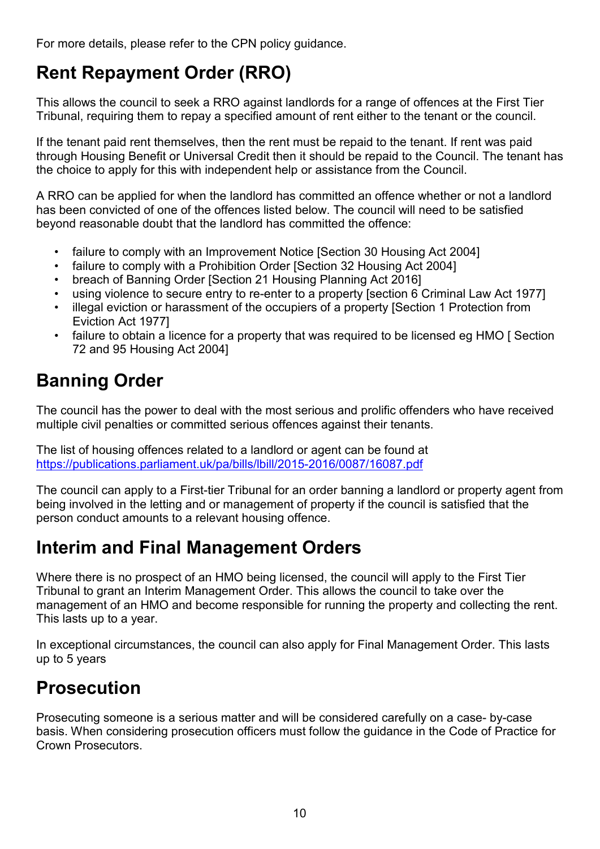For more details, please refer to the CPN policy guidance.

## **Rent Repayment Order (RRO)**

This allows the council to seek a RRO against landlords for a range of offences at the First Tier Tribunal, requiring them to repay a specified amount of rent either to the tenant or the council.

If the tenant paid rent themselves, then the rent must be repaid to the tenant. If rent was paid through Housing Benefit or Universal Credit then it should be repaid to the Council. The tenant has the choice to apply for this with independent help or assistance from the Council.

A RRO can be applied for when the landlord has committed an offence whether or not a landlord has been convicted of one of the offences listed below. The council will need to be satisfied beyond reasonable doubt that the landlord has committed the offence:

- failure to comply with an Improvement Notice [Section 30 Housing Act 2004]
- failure to comply with a Prohibition Order [Section 32 Housing Act 2004]
- breach of Banning Order [Section 21 Housing Planning Act 2016]
- using violence to secure entry to re-enter to a property [section 6 Criminal Law Act 1977]
- illegal eviction or harassment of the occupiers of a property [Section 1 Protection from Eviction Act 1977]
- failure to obtain a licence for a property that was required to be licensed eg HMO [ Section 72 and 95 Housing Act 2004]

## **Banning Order**

The council has the power to deal with the most serious and prolific offenders who have received multiple civil penalties or committed serious offences against their tenants.

The list of housing offences related to a landlord or agent can be found at <https://publications.parliament.uk/pa/bills/lbill/2015-2016/0087/16087.pdf>

The council can apply to a First-tier Tribunal for an order banning a landlord or property agent from being involved in the letting and or management of property if the council is satisfied that the person conduct amounts to a relevant housing offence.

### **Interim and Final Management Orders**

Where there is no prospect of an HMO being licensed, the council will apply to the First Tier Tribunal to grant an Interim Management Order. This allows the council to take over the management of an HMO and become responsible for running the property and collecting the rent. This lasts up to a year.

In exceptional circumstances, the council can also apply for Final Management Order. This lasts up to 5 years

## **Prosecution**

Prosecuting someone is a serious matter and will be considered carefully on a case- by-case basis. When considering prosecution officers must follow the guidance in the Code of Practice for Crown Prosecutors.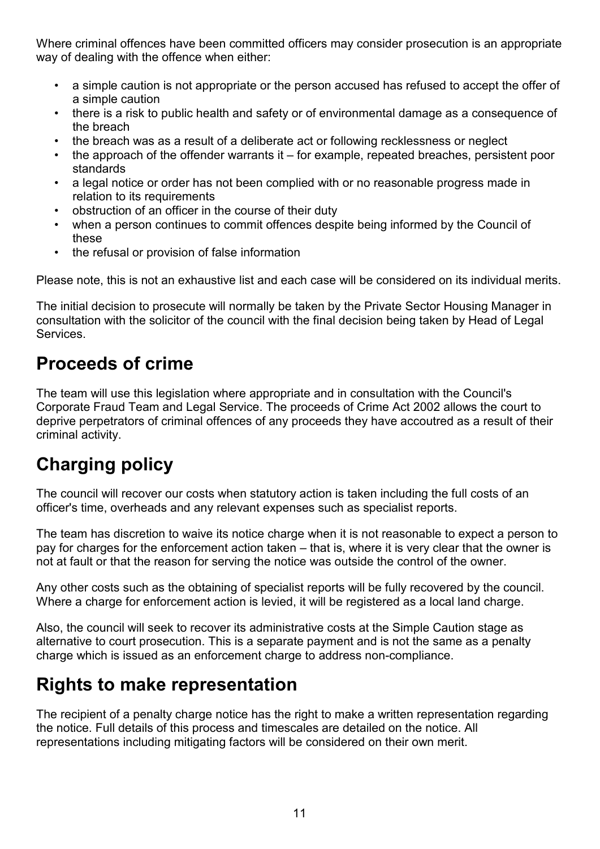Where criminal offences have been committed officers may consider prosecution is an appropriate way of dealing with the offence when either:

- a simple caution is not appropriate or the person accused has refused to accept the offer of a simple caution
- there is a risk to public health and safety or of environmental damage as a consequence of the breach
- the breach was as a result of a deliberate act or following recklessness or neglect
- the approach of the offender warrants it for example, repeated breaches, persistent poor standards
- a legal notice or order has not been complied with or no reasonable progress made in relation to its requirements
- obstruction of an officer in the course of their duty
- when a person continues to commit offences despite being informed by the Council of these
- the refusal or provision of false information

Please note, this is not an exhaustive list and each case will be considered on its individual merits.

The initial decision to prosecute will normally be taken by the Private Sector Housing Manager in consultation with the solicitor of the council with the final decision being taken by Head of Legal **Services** 

### **Proceeds of crime**

The team will use this legislation where appropriate and in consultation with the Council's Corporate Fraud Team and Legal Service. The proceeds of Crime Act 2002 allows the court to deprive perpetrators of criminal offences of any proceeds they have accoutred as a result of their criminal activity.

## **Charging policy**

The council will recover our costs when statutory action is taken including the full costs of an officer's time, overheads and any relevant expenses such as specialist reports.

The team has discretion to waive its notice charge when it is not reasonable to expect a person to pay for charges for the enforcement action taken – that is, where it is very clear that the owner is not at fault or that the reason for serving the notice was outside the control of the owner.

Any other costs such as the obtaining of specialist reports will be fully recovered by the council. Where a charge for enforcement action is levied, it will be registered as a local land charge.

Also, the council will seek to recover its administrative costs at the Simple Caution stage as alternative to court prosecution. This is a separate payment and is not the same as a penalty charge which is issued as an enforcement charge to address non-compliance.

### **Rights to make representation**

The recipient of a penalty charge notice has the right to make a written representation regarding the notice. Full details of this process and timescales are detailed on the notice. All representations including mitigating factors will be considered on their own merit.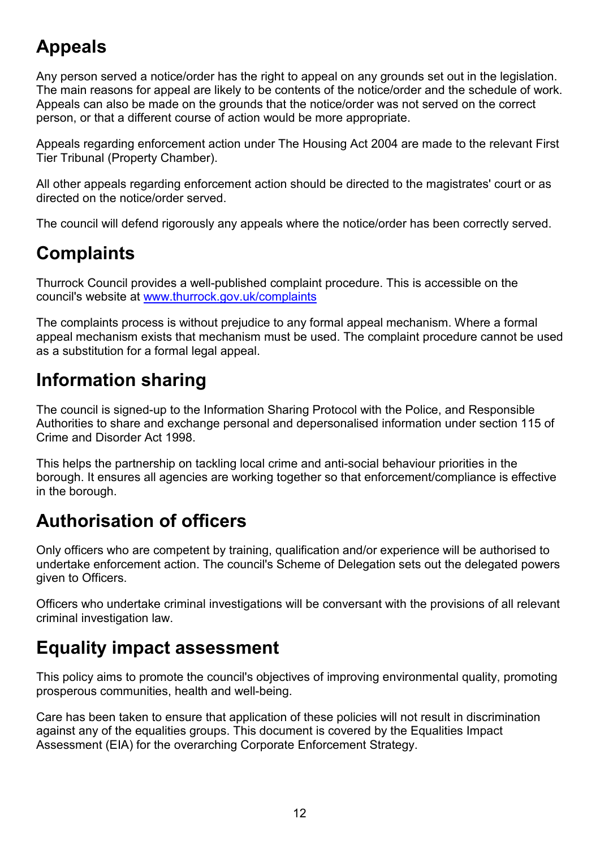## **Appeals**

Any person served a notice/order has the right to appeal on any grounds set out in the legislation. The main reasons for appeal are likely to be contents of the notice/order and the schedule of work. Appeals can also be made on the grounds that the notice/order was not served on the correct person, or that a different course of action would be more appropriate.

Appeals regarding enforcement action under The Housing Act 2004 are made to the relevant First Tier Tribunal (Property Chamber).

All other appeals regarding enforcement action should be directed to the magistrates' court or as directed on the notice/order served.

The council will defend rigorously any appeals where the notice/order has been correctly served.

### **Complaints**

Thurrock Council provides a well-published complaint procedure. This is accessible on the council's website at [www.thurrock.gov.uk/complaints](http://www.thurrock.gov.uk/complaints)

The complaints process is without prejudice to any formal appeal mechanism. Where a formal appeal mechanism exists that mechanism must be used. The complaint procedure cannot be used as a substitution for a formal legal appeal.

### **Information sharing**

The council is signed-up to the Information Sharing Protocol with the Police, and Responsible Authorities to share and exchange personal and depersonalised information under section 115 of Crime and Disorder Act 1998.

This helps the partnership on tackling local crime and anti-social behaviour priorities in the borough. It ensures all agencies are working together so that enforcement/compliance is effective in the borough.

### **Authorisation of officers**

Only officers who are competent by training, qualification and/or experience will be authorised to undertake enforcement action. The council's Scheme of Delegation sets out the delegated powers given to Officers.

Officers who undertake criminal investigations will be conversant with the provisions of all relevant criminal investigation law.

### **Equality impact assessment**

This policy aims to promote the council's objectives of improving environmental quality, promoting prosperous communities, health and well-being.

Care has been taken to ensure that application of these policies will not result in discrimination against any of the equalities groups. This document is covered by the Equalities Impact Assessment (EIA) for the overarching Corporate Enforcement Strategy.